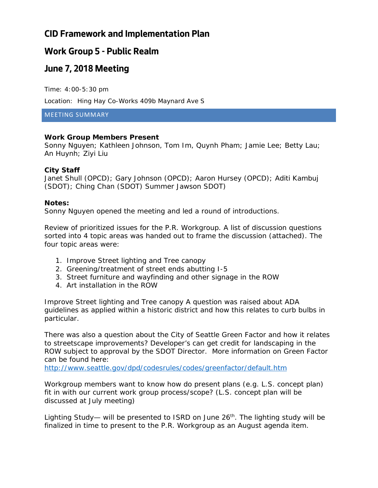# **CID Framework and Implementation Plan**

### **Work Group 5 - Public Realm**

### **June 7, 2018 Meeting**

Time: 4:00-5:30 pm

Location: Hing Hay Co-Works 409b Maynard Ave S

MEETING SUMMARY

#### **Work Group Members Present**

Sonny Nguyen; Kathleen Johnson, Tom Im, Quynh Pham; Jamie Lee; Betty Lau; An Huynh; Ziyi Liu

#### **City Staff**

Janet Shull (OPCD); Gary Johnson (OPCD); Aaron Hursey (OPCD); Aditi Kambuj (SDOT); Ching Chan (SDOT) Summer Jawson SDOT)

#### **Notes:**

Sonny Nguyen opened the meeting and led a round of introductions.

Review of prioritized issues for the P.R. Workgroup. A list of discussion questions sorted into 4 topic areas was handed out to frame the discussion (attached). The four topic areas were:

- 1. Improve Street lighting and Tree canopy
- 2. Greening/treatment of street ends abutting I-5
- 3. Street furniture and wayfinding and other signage in the ROW
- 4. Art installation in the ROW

*Improve Street lighting and Tree canopy* A question was raised about ADA guidelines as applied within a historic district and how this relates to curb bulbs in particular.

There was also a question about the City of Seattle Green Factor and how it relates to streetscape improvements? Developer's can get credit for landscaping in the ROW subject to approval by the SDOT Director. More information on Green Factor can be found here:

<http://www.seattle.gov/dpd/codesrules/codes/greenfactor/default.htm>

Workgroup members want to know how do present plans (e.g. L.S. concept plan) fit in with our current work group process/scope? (L.S. concept plan will be discussed at July meeting)

Lighting Study— will be presented to ISRD on June  $26<sup>th</sup>$ . The lighting study will be finalized in time to present to the P.R. Workgroup as an August agenda item.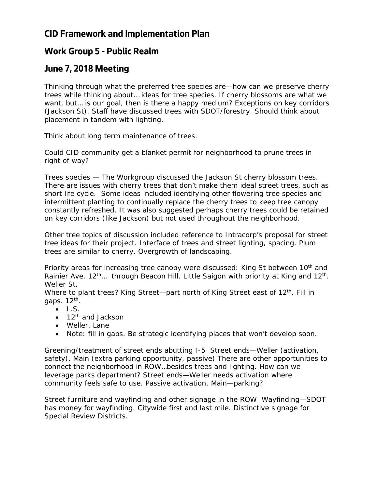# **CID Framework and Implementation Plan**

# **Work Group 5 - Public Realm**

# **June 7, 2018 Meeting**

Thinking through what the preferred tree species are—how can we preserve cherry trees while thinking about… ideas for tree species. If cherry blossoms are what we want, but... is our goal, then is there a happy medium? Exceptions on key corridors (Jackson St). Staff have discussed trees with SDOT/forestry. Should think about placement in tandem with lighting.

Think about long term maintenance of trees.

Could CID community get a blanket permit for neighborhood to prune trees in right of way?

Trees species — The Workgroup discussed the Jackson St cherry blossom trees. There are issues with cherry trees that don't make them ideal street trees, such as short life cycle. Some ideas included identifying other flowering tree species and intermittent planting to continually replace the cherry trees to keep tree canopy constantly refreshed. It was also suggested perhaps cherry trees could be retained on key corridors (like Jackson) but not used throughout the neighborhood.

Other tree topics of discussion included reference to Intracorp's proposal for street tree ideas for their project. Interface of trees and street lighting, spacing. Plum trees are similar to cherry. Overgrowth of landscaping.

Priority areas for increasing tree canopy were discussed: King St between 10<sup>th</sup> and Rainier Ave. 12<sup>th</sup>... through Beacon Hill. Little Saigon with priority at King and 12<sup>th</sup>. Weller St.

Where to plant trees? King Street—part north of King Street east of  $12<sup>th</sup>$ . Fill in gaps.  $12<sup>th</sup>$ .

- $\bullet$  L.S.
- $\bullet$  12<sup>th</sup> and Jackson
- Weller, Lane
- Note: fill in gaps. Be strategic identifying places that won't develop soon.

*Greening/treatment of street ends abutting I-5* Street ends—Weller (activation, safety), Main (extra parking opportunity, passive) There are other opportunities to connect the neighborhood in ROW…besides trees and lighting. How can we leverage parks department? Street ends—Weller needs activation where community feels safe to use. Passive activation. Main—parking?

*Street furniture and wayfinding and other signage in the ROW* Wayfinding—SDOT has money for wayfinding. Citywide first and last mile. Distinctive signage for Special Review Districts.